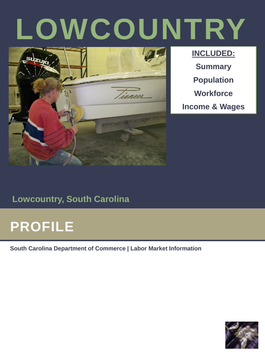# **LOWCOUNTRY**



**INCLUDED: Summary Population Workforce Income & Wages** 

#### **Lowcountry, South Carolina**

### **PROFILE**

**South Carolina Department of Commerce | Labor Market Information**

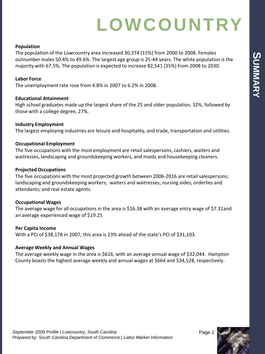### **LOWCOUNTRY**

#### **Population**

The population of the Lowcountry area increased 30,374 (15%) from 2000 to 2008. Females outnumber males 50.4% to 49.6%. The largest age group is 25-44 years. The white population is the majority with 67.5%. The population is expected to increase 82,541 (35%) from 2008 to 2030.

#### **Labor Force**

The unemployment rate rose from 4.8% in 2007 to 6.2% in 2008.

#### **Educational Attainment**

High school graduates made up the largest share of the 25 and older population, 32%, followed by those with a college degree, 27%.

#### **Industry Employment**

The largest employing industries are leisure and hospitality, and trade, transportation and utilities.

#### **Occupational Employment**

The five occupations with the most employment are retail salespersons, cashiers, waiters and waitresses, landscaping and groundskeeping workers, and maids and housekeeping cleaners.

#### **Projected Occupations**

The five occupations with the most projected growth between 2006-2016 are retail salespersons; landscaping and groundskeeping workers; waiters and waitresses; nursing aides, orderlies and attendants; and real estate agents.

#### **Occupational Wages**

The average wage for all occupations in the area is \$16.38 with an average entry wage of \$7.31and an average experienced wage of \$19.25

#### **Per Capita Income**

With a PCI of \$38,178 in 2007, this area is 23% ahead of the state's PCI of \$31,103.

#### **Average Weekly and Annual Wages**

The average weekly wage in the area is \$616, with an average annual wage of \$32,044. Hampton County boasts the highest average weekly and annual wages at \$664 and \$34,528, respectively.

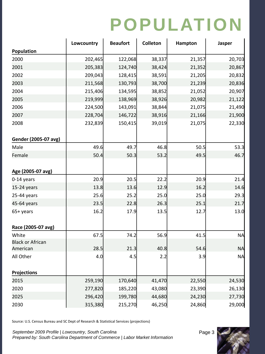### **POPULATION**

|                         | Lowcountry | <b>Beaufort</b> | Colleton | Hampton          | Jasper    |  |
|-------------------------|------------|-----------------|----------|------------------|-----------|--|
| Population              |            |                 |          |                  |           |  |
| 2000                    | 202,465    | 122,068         | 38,337   | 21,357           | 20,703    |  |
| 2001                    | 205,383    | 124,740         | 38,424   | 21,352           | 20,867    |  |
| 2002                    | 209,043    | 128,415         | 38,591   | 21,205           | 20,832    |  |
| 2003                    | 211,568    | 130,793         | 38,700   | 21,239           | 20,836    |  |
| 2004                    | 215,406    | 134,595         | 38,852   | 21,052           | 20,907    |  |
| 2005                    | 219,999    | 138,969         | 38,926   | 20,982           | 21,122    |  |
| 2006                    | 224,500    | 143,091         | 38,844   | 21,075           | 21,490    |  |
| 2007                    | 228,704    | 146,722         | 38,916   | 21,166           | 21,900    |  |
| 2008                    | 232,839    | 150,415         | 39,019   | 21,075           | 22,330    |  |
| Gender (2005-07 avg)    |            |                 |          |                  |           |  |
| Male                    | 49.6       | 49.7            | 46.8     | 50.5             | 53.3      |  |
| Female                  | 50.4       | 50.3            | 53.2     | 49.5             | 46.7      |  |
| Age (2005-07 avg)       |            |                 |          |                  |           |  |
| 0-14 years              | 20.9       | 20.5            | 22.2     | 20.9             | 21.4      |  |
| 15-24 years             | 13.8       | 13.6            | 12.9     | 16.2             | 14.6      |  |
| 25-44 years             | 25.6       | 25.2            | 25.0     | 25.0             | 29.3      |  |
| 45-64 years             | 23.5       | 22.8            | 26.3     | 25.1             | 21.7      |  |
| 65+ years               | 16.2       | 17.9            | 13.5     | 12.7             | 13.0      |  |
| Race (2005-07 avg)      |            |                 |          |                  |           |  |
| White                   | 67.5       | 74.2            | 56.9     | 41.5             | <b>NA</b> |  |
| <b>Black or African</b> |            |                 |          |                  |           |  |
| American                | 28.5       | 21.3            | 40.8     | 54.6             | <b>NA</b> |  |
| All Other               | 4.0        | 4.5             | 2.2      | 3.9              | <b>NA</b> |  |
| <b>Projections</b>      |            |                 |          |                  |           |  |
| 2015                    | 259,190    | 170,640         | 41,470   | 22,550           | 24,530    |  |
| 2020                    | 277,820    | 185,220         | 43,080   | 23,390           | 26,130    |  |
| 2025                    | 296,420    | 199,780         | 44,680   | 24,230           | 27,730    |  |
| 2030                    | 315,380    | 215,270         | 46,250   | 24,860<br>29,000 |           |  |

Source: U.S. Census Bureau and SC Dept of Research & Statistical Services (projections)

September 2009 Profile | Lowcountry, South Carolina **Page 3** *Prepared by: South Carolina Department of Commerce | Labor Market Information*

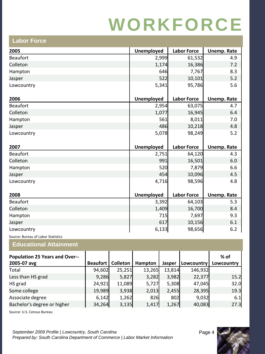| LANUI I UI <del>UC</del> |                   |                    |                    |
|--------------------------|-------------------|--------------------|--------------------|
| 2005                     | <b>Unemployed</b> | <b>Labor Force</b> | <b>Unemp. Rate</b> |
| <b>Beaufort</b>          | 2,999             | 61,532             | 4.9                |
| Colleton                 | 1,174             | 16,386             | 7.2                |
| Hampton                  | 646               | 7,767              | 8.3                |
| Jasper                   | 522               | 10,101             | 5.2                |
| Lowcountry               | 5,341             | 95,786             | 5.6                |
| 2006                     | Unemployed        | <b>Labor Force</b> | <b>Unemp. Rate</b> |
| <b>Beaufort</b>          | 2,954             | 63,075             | 4.7                |
| Colleton                 | 1,077             | 16,945             | 6.4                |
| Hampton                  | 561               | 8,011              | 7.0                |
| Jasper                   | 486               | 10,218             | 4.8                |
| Lowcountry               | 5,078             | 98,249             | $5.2$              |
| 2007                     | <b>Unemployed</b> | <b>Labor Force</b> | <b>Unemp. Rate</b> |
| <b>Beaufort</b>          | 2,751             | 64,120             | 4.3                |
| Colleton                 | 991               | 16,501             | 6.0                |
| Hampton                  | 520               | 7,879              | 6.6                |
| Jasper                   | 454               | 10,096             | 4.5                |
| Lowcountry               | 4,716             | 98,596             | 4.8                |
| 2008                     | <b>Unemployed</b> | <b>Labor Force</b> | <b>Unemp. Rate</b> |
| <b>Beaufort</b>          | 3,392             | 64,103             | 5.3                |
| Colleton                 | 1,409             | 16,700             | 8.4                |
| Hampton                  | 715               | 7,697              | 9.3                |
| Jasper                   | 617               | 10,156             | 6.1                |
| Lowcountry               | 6,133             | 98,656             | 6.2                |

Source: Bureau of Labor Statistics

**Labor Force**

#### **Educational Attainment**

| <b>Population 25 Years and Over--</b> |                 |                 |         |        |            | % of       |
|---------------------------------------|-----------------|-----------------|---------|--------|------------|------------|
| 2005-07 avg                           | <b>Beaufort</b> | <b>Colleton</b> | Hampton | Jasper | Lowcountry | Lowcountry |
| Total                                 | 94,602          | 25,251          | 13,265  | 13,814 | 146,932    |            |
| Less than HS grad                     | 9,286           | 5,827           | 3,282   | 3,982  | 22,377     | 15.2       |
| HS grad                               | 24,921          | 11,089          | 5,727   | 5,308  | 47,045     | 32.0       |
| Some college                          | 19,989          | 3,938           | 2,013   | 2,455  | 28,395     | 19.3       |
| Associate degree                      | 6,142           | 1,262           | 826     | 802    | 9,032      | 6.1        |
| Bachelor's degree or higher           | 34,264          | 3,135           | 1,417   | 1,267  | 40,083     | 27.3       |

Source: U.S. Census Bureau

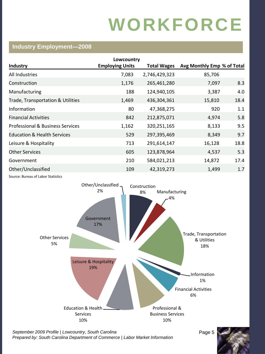#### **Industry Employment—2008**

|                                             | Lowcountry             |                    |                            |      |
|---------------------------------------------|------------------------|--------------------|----------------------------|------|
| <b>Industry</b>                             | <b>Employing Units</b> | <b>Total Wages</b> | Avg Monthly Emp % of Total |      |
| All Industries                              | 7,083                  | 2,746,429,323      | 85,706                     |      |
| Construction                                | 1,176                  | 265,461,280        | 7,097                      | 8.3  |
| Manufacturing                               | 188                    | 124,940,105        | 3,387                      | 4.0  |
| Trade, Transportation & Utilities           | 1,469                  | 436,304,361        | 15,810                     | 18.4 |
| Information                                 | 80                     | 47,368,275         | 920                        | 1.1  |
| <b>Financial Activities</b>                 | 842                    | 212,875,071        | 4,974                      | 5.8  |
| <b>Professional &amp; Business Services</b> | 1,162                  | 320,251,165        | 8,133                      | 9.5  |
| <b>Education &amp; Health Services</b>      | 529                    | 297,395,469        | 8,349                      | 9.7  |
| Leisure & Hospitality                       | 713                    | 291,614,147        | 16,128                     | 18.8 |
| <b>Other Services</b>                       | 605                    | 123,878,964        | 4,537                      | 5.3  |
| Government                                  | 210                    | 584,021,213        | 14,872                     | 17.4 |
| Other/Unclassified                          | 109                    | 42,319,273         | 1,499                      | 1.7  |
| Source: Bureau of Labor Statistics          |                        |                    |                            |      |



September 2009 Profile | Lowcountry, South Carolina **Page 5** Page 5 *Prepared by: South Carolina Department of Commerce | Labor Market Information*

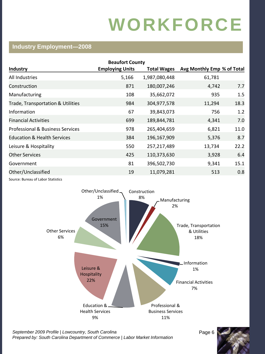#### **Industry Employment—2008**

| <b>Beaufort County</b>                 |                        |                    |                            |      |  |  |
|----------------------------------------|------------------------|--------------------|----------------------------|------|--|--|
| <b>Industry</b>                        | <b>Employing Units</b> | <b>Total Wages</b> | Avg Monthly Emp % of Total |      |  |  |
| All Industries                         | 5,166                  | 1,987,080,448      | 61,781                     |      |  |  |
| Construction                           | 871                    | 180,007,246        | 4,742                      | 7.7  |  |  |
| Manufacturing                          | 108                    | 35,662,072         | 935                        | 1.5  |  |  |
| Trade, Transportation & Utilities      | 984                    | 304,977,578        | 11,294                     | 18.3 |  |  |
| Information                            | 67                     | 39,843,073         | 756                        | 1.2  |  |  |
| <b>Financial Activities</b>            | 699                    | 189,844,781        | 4,341                      | 7.0  |  |  |
| Professional & Business Services       | 978                    | 265,404,659        | 6,821                      | 11.0 |  |  |
| <b>Education &amp; Health Services</b> | 384                    | 196,167,909        | 5,376                      | 8.7  |  |  |
| Leisure & Hospitality                  | 550                    | 257,217,489        | 13,734                     | 22.2 |  |  |
| <b>Other Services</b>                  | 425                    | 110,373,630        | 3,928                      | 6.4  |  |  |
| Government                             | 81                     | 396,502,730        | 9,341                      | 15.1 |  |  |
| Other/Unclassified                     | 19                     | 11,079,281         | 513                        | 0.8  |  |  |
| Source: Bureau of Labor Statistics     |                        |                    |                            |      |  |  |

Construction 8% Manufacturing 2% Trade, Transportation & Utilities 18% Information 1% Financial Activities 7% Professional & Business Services 11% Education & Health Services 9% Leisure & **Hospitality** 22% Other Services 6% Government 15% Other/Unclassified 1%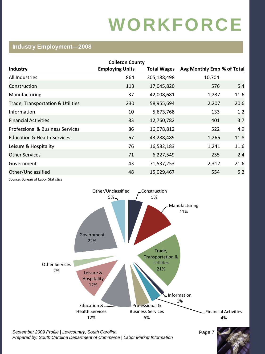#### **Industry Employment—2008**

| <b>Colleton County</b>                      |                        |                    |                            |      |  |  |  |
|---------------------------------------------|------------------------|--------------------|----------------------------|------|--|--|--|
| <b>Industry</b>                             | <b>Employing Units</b> | <b>Total Wages</b> | Avg Monthly Emp % of Total |      |  |  |  |
| All Industries                              | 864                    | 305,188,498        | 10,704                     |      |  |  |  |
| Construction                                | 113                    | 17,045,820         | 576                        | 5.4  |  |  |  |
| Manufacturing                               | 37                     | 42,008,681         | 1,237                      | 11.6 |  |  |  |
| Trade, Transportation & Utilities           | 230                    | 58,955,694         | 2,207                      | 20.6 |  |  |  |
| Information                                 | 10                     | 5,673,768          | 133                        | 1.2  |  |  |  |
| <b>Financial Activities</b>                 | 83                     | 12,760,782         | 401                        | 3.7  |  |  |  |
| <b>Professional &amp; Business Services</b> | 86                     | 16,078,812         | 522                        | 4.9  |  |  |  |
| <b>Education &amp; Health Services</b>      | 67                     | 43,288,489         | 1,266                      | 11.8 |  |  |  |
| Leisure & Hospitality                       | 76                     | 16,582,183         | 1,241                      | 11.6 |  |  |  |
| <b>Other Services</b>                       | 71                     | 6,227,549          | 255                        | 2.4  |  |  |  |
| Government                                  | 43                     | 71,537,253         | 2,312                      | 21.6 |  |  |  |
| Other/Unclassified                          | 48                     | 15,029,467         | 554                        | 5.2  |  |  |  |
|                                             |                        |                    |                            |      |  |  |  |

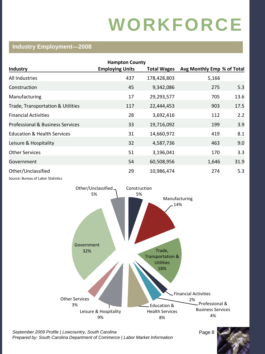#### **Industry Employment—2008**

| <b>Hampton County</b>                                    |                        |                    |                            |      |  |  |  |
|----------------------------------------------------------|------------------------|--------------------|----------------------------|------|--|--|--|
| <b>Industry</b>                                          | <b>Employing Units</b> | <b>Total Wages</b> | Avg Monthly Emp % of Total |      |  |  |  |
| All Industries                                           | 437                    | 178,428,803        | 5,166                      |      |  |  |  |
| Construction                                             | 45                     | 9,342,086          | 275                        | 5.3  |  |  |  |
| Manufacturing                                            | 17                     | 29,293,577         | 705                        | 13.6 |  |  |  |
| Trade, Transportation & Utilities                        | 117                    | 22,444,453         | 903                        | 17.5 |  |  |  |
| <b>Financial Activities</b>                              | 28                     | 3,692,416          | 112                        | 2.2  |  |  |  |
| <b>Professional &amp; Business Services</b>              | 33                     | 19,716,092         | 199                        | 3.9  |  |  |  |
| <b>Education &amp; Health Services</b>                   | 31                     | 14,660,972         | 419                        | 8.1  |  |  |  |
| Leisure & Hospitality                                    | 32                     | 4,587,736          | 463                        | 9.0  |  |  |  |
| <b>Other Services</b>                                    | 51                     | 3,196,041          | 170                        | 3.3  |  |  |  |
| Government                                               | 54                     | 60,508,956         | 1,646                      | 31.9 |  |  |  |
| Other/Unclassified<br>Source: Bureau of Labor Statistics | 29                     | 10,986,474         | 274                        | 5.3  |  |  |  |

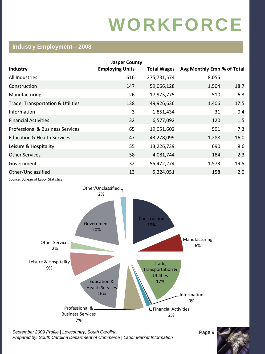#### **Industry Employment—2008**

|                                        | <b>Jasper County</b>   |                    |                            |      |
|----------------------------------------|------------------------|--------------------|----------------------------|------|
| <b>Industry</b>                        | <b>Employing Units</b> | <b>Total Wages</b> | Avg Monthly Emp % of Total |      |
| All Industries                         | 616                    | 275,731,574        | 8,055                      |      |
| Construction                           | 147                    | 59,066,128         | 1,504                      | 18.7 |
| Manufacturing                          | 26                     | 17,975,775         | 510                        | 6.3  |
| Trade, Transportation & Utilities      | 138                    | 49,926,636         | 1,406                      | 17.5 |
| Information                            | 3                      | 1,851,434          | 31                         | 0.4  |
| <b>Financial Activities</b>            | 32                     | 6,577,092          | 120                        | 1.5  |
| Professional & Business Services       | 65                     | 19,051,602         | 591                        | 7.3  |
| <b>Education &amp; Health Services</b> | 47                     | 43,278,099         | 1,288                      | 16.0 |
| Leisure & Hospitality                  | 55                     | 13,226,739         | 690                        | 8.6  |
| <b>Other Services</b>                  | 58                     | 4,081,744          | 184                        | 2.3  |
| Government                             | 32                     | 55,472,274         | 1,573                      | 19.5 |
| Other/Unclassified                     | 13                     | 5,224,051          | 158                        | 2.0  |
|                                        |                        |                    |                            |      |



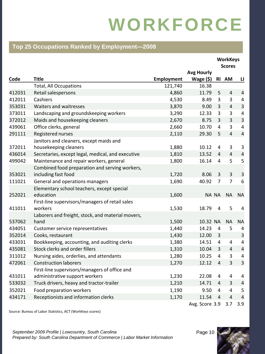#### **Top 25 Occupations Ranked by Employment—2008**

|        |                                                   |                   |                   |                | <b>WorkKeys</b><br><b>Scores</b> |                         |
|--------|---------------------------------------------------|-------------------|-------------------|----------------|----------------------------------|-------------------------|
|        |                                                   |                   | <b>Avg Hourly</b> |                |                                  |                         |
| Code   | <b>Title</b>                                      | <b>Employment</b> | Wage $(5)$ RI AM  |                |                                  | $\mathbf{L}$            |
|        | <b>Total, All Occupations</b>                     | 121,740           | 16.38             |                |                                  |                         |
| 412031 | Retail salespersons                               | 4,860             | 11.79             | 5              | $\overline{4}$                   | $\sqrt{4}$              |
| 412011 | Cashiers                                          | 4,530             | 8.49              | 3              | 3                                | 4                       |
| 353031 | Waiters and waitresses                            | 3,870             | 9.00              | $\mathbf{3}$   | $\overline{4}$                   | $\overline{3}$          |
| 373011 | Landscaping and groundskeeping workers            | 3,290             | 12.33             | 3              | 3                                | $\pmb{4}$               |
| 372012 | Maids and housekeeping cleaners                   | 2,670             | 8.75              | 3              | 3                                | $\overline{3}$          |
| 439061 | Office clerks, general                            | 2,660             | 10.70             | $\overline{4}$ | 3                                | $\pmb{4}$               |
| 291111 | Registered nurses                                 | 2,110             | 29.30             | 5              | $\overline{4}$                   | $\overline{4}$          |
|        | Janitors and cleaners, except maids and           |                   |                   |                |                                  |                         |
| 372011 | housekeeping cleaners                             | 1,880             | 10.12             | $\overline{4}$ | 3                                | $\mathbf{3}$            |
| 436014 | Secretaries, except legal, medical, and executive | 1,810             | 13.52             | $\overline{4}$ | $\overline{4}$                   | $\overline{a}$          |
| 499042 | Maintenance and repair workers, general           | 1,800             | 16.14             | 4              | 5                                | 5                       |
|        | Combined food preparation and serving workers,    |                   |                   |                |                                  |                         |
| 353021 | including fast food                               | 1,720             | 8.06              | $\overline{3}$ | $\overline{3}$                   | $\overline{\mathbf{3}}$ |
| 111021 | General and operations managers                   | 1,690             | 40.92             | $\overline{7}$ | $\overline{7}$                   | 6                       |
|        | Elementary school teachers, except special        |                   |                   |                |                                  |                         |
| 252021 | education                                         | 1,600             | NA NA             |                | <b>NA</b>                        | <b>NA</b>               |
|        | First-line supervisors/managers of retail sales   |                   |                   |                |                                  |                         |
| 411011 | workers                                           | 1,530             | 18.79             | 4              | 5                                | 4                       |
|        | Laborers and freight, stock, and material movers, |                   |                   |                |                                  |                         |
| 537062 | hand                                              | 1,500             | 10.32 NA          |                | <b>NA</b>                        | <b>NA</b>               |
| 434051 | Customer service representatives                  | 1,440             | 14.23             | $\overline{a}$ | 5                                | 4                       |
| 352014 | Cooks, restaurant                                 | 1,430             | 12.00             | $\mathbf{3}$   |                                  | $\mathsf 3$             |
| 433031 | Bookkeeping, accounting, and auditing clerks      | 1,380             | 14.51             | $\overline{a}$ | 4                                | 4                       |
| 435081 | Stock clerks and order fillers                    | 1,310             | 10.04             | 3              | $\overline{4}$                   | $\pmb{4}$               |
| 311012 | Nursing aides, orderlies, and attendants          | 1,280             | 10.25             | $\overline{4}$ | 3                                | 4                       |
| 472061 | <b>Construction laborers</b>                      | 1,270             | 12.12             | $\overline{4}$ | $\overline{3}$                   | $\overline{\mathbf{3}}$ |
|        | First-line supervisors/managers of office and     |                   |                   |                |                                  |                         |
| 431011 | administrative support workers                    | 1,230             | 22.08             | 4              | 4                                | 4                       |
| 533032 | Truck drivers, heavy and tractor-trailer          | 1,210             | 14.71             | 4              | $\overline{3}$                   | $\sqrt{4}$              |
| 352021 | Food preparation workers                          | 1,190             | 9.50              | 4              | $\overline{4}$                   | 5                       |
| 434171 | Receptionists and information clerks              | 1,170             | 11.54             | $\overline{4}$ | $\overline{4}$                   | $\overline{4}$          |
|        |                                                   |                   | Avg. Score 3.9    |                | 3.7                              | 3.9                     |

Source: Bureau of Labor Statistics, ACT (WorkKeys scores)

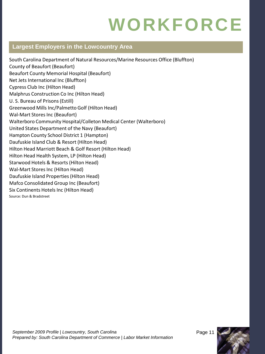#### **Largest Employers in the Lowcountry Area**

South Carolina Department of Natural Resources/Marine Resources Office (Bluffton) County of Beaufort (Beaufort) Beaufort County Memorial Hospital (Beaufort) Net Jets International Inc (Bluffton) Cypress Club Inc (Hilton Head) Malphrus Construction Co Inc (Hilton Head) U. S. Bureau of Prisons (Estill) Greenwood Mills Inc/Palmetto Golf (Hilton Head) Wal-Mart Stores Inc (Beaufort) Walterboro Community Hospital/Colleton Medical Center (Walterboro) United States Department of the Navy (Beaufort) Hampton County School District 1 (Hampton) Daufuskie Island Club & Resort (Hilton Head) Hilton Head Marriott Beach & Golf Resort (Hilton Head) Hilton Head Health System, LP (Hilton Head) Starwood Hotels & Resorts (Hilton Head) Wal-Mart Stores Inc (Hilton Head) Daufuskie Island Properties(Hilton Head) Mafco Consolidated Group Inc (Beaufort) Six Continents Hotels Inc (Hilton Head) Source: Dun & Bradstreet

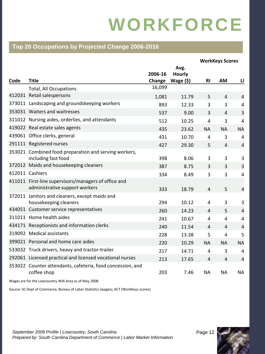#### **Top 20 Occupations by Projected Change 2006-2016**

|      |                                                                                        |         |               |                | <b>WorkKeys Scores</b> |                |
|------|----------------------------------------------------------------------------------------|---------|---------------|----------------|------------------------|----------------|
|      |                                                                                        |         | Avg.          |                |                        |                |
|      |                                                                                        | 2006-16 | <b>Hourly</b> |                |                        |                |
| Code | <b>Title</b>                                                                           | Change  | Wage $($ \$)  | <b>RI</b>      | AM                     | u              |
|      | <b>Total, All Occupations</b>                                                          | 16,099  |               |                |                        |                |
|      | 412031 Retail salespersons                                                             | 1,081   | 11.79         | 5              | $\overline{4}$         | $\overline{4}$ |
|      | 373011 Landscaping and groundskeeping workers                                          | 893     | 12.33         | 3              | 3                      | $\overline{4}$ |
|      | 353031 Waiters and waitresses                                                          | 537     | 9.00          | 3              | $\overline{4}$         | 3              |
|      | 311012 Nursing aides, orderlies, and attendants                                        | 512     | 10.25         | 4              | 3                      | $\overline{a}$ |
|      | 419022 Real estate sales agents                                                        | 435     | 23.62         | <b>NA</b>      | <b>NA</b>              | <b>NA</b>      |
|      | 439061 Office clerks, general                                                          | 431     | 10.70         | 4              | 3                      | 4              |
|      | 291111 Registered nurses                                                               | 427     | 29.30         | 5              | $\overline{4}$         | $\overline{4}$ |
|      | 353021 Combined food preparation and serving workers,<br>including fast food           | 398     | 8.06          | 3              | 3                      | 3              |
|      | 372012 Maids and housekeeping cleaners                                                 | 387     | 8.75          | 3              | 3                      | 3              |
|      | 412011 Cashiers                                                                        | 334     | 8.49          | 3              | 3                      | 4              |
|      | 411011 First-line supervisors/managers of office and<br>administrative support workers | 333     | 18.79         | $\overline{4}$ | 5                      | $\overline{4}$ |
|      | 372011 Janitors and cleaners, except maids and<br>housekeeping cleaners                | 294     | 10.12         | 4              | 3                      | 3              |
|      | 434051 Customer service representatives                                                | 260     | 14.23         | $\overline{4}$ | 5                      | $\overline{4}$ |
|      | 311011 Home health aides                                                               | 241     | 10.67         | $\overline{4}$ | 4                      | $\overline{4}$ |
|      | 434171 Receptionists and information clerks                                            | 240     | 11.54         | $\overline{4}$ | 4                      | $\overline{4}$ |
|      | 319092 Medical assistants                                                              | 228     | 13.38         | 5              | 4                      | 5              |
|      | 399021 Personal and home care aides                                                    | 220     | 10.29         | <b>NA</b>      | <b>NA</b>              | <b>NA</b>      |
|      | 533032 Truck drivers, heavy and tractor-trailer                                        | 217     | 14.71         | $\overline{4}$ | 3                      | 4              |
|      | 292061 Licensed practical and licensed vocational nurses                               | 213     | 17.65         | $\overline{4}$ | $\overline{4}$         | $\overline{4}$ |
|      | 353022 Counter attendants, cafeteria, food concession, and<br>coffee shop              | 203     | 7.46          | NA             | <b>NA</b>              | <b>NA</b>      |

Wages are for the Lowcountry WIA Area as of May 2008

Source: SC Dept of Commerce, Bureau of Labor Statistics (wages), ACT (WorkKeys scores)

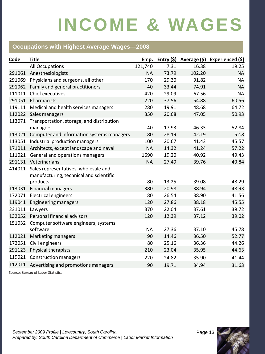#### **Occupations with Highest Average Wages—2008**

| Code   | <b>Title</b>                                                                    | Emp.      |       |        | Entry $(\xi)$ Average $(\xi)$ Experienced $(\xi)$ |
|--------|---------------------------------------------------------------------------------|-----------|-------|--------|---------------------------------------------------|
|        | All Occupations                                                                 | 121,740   | 7.31  | 16.38  | 19.25                                             |
| 291061 | Anesthesiologists                                                               | <b>NA</b> | 73.79 | 102.20 | <b>NA</b>                                         |
| 291069 | Physicians and surgeons, all other                                              | 170       | 29.30 | 91.82  | <b>NA</b>                                         |
| 291062 | Family and general practitioners                                                | 40        | 33.44 | 74.91  | <b>NA</b>                                         |
| 111011 | Chief executives                                                                | 420       | 29.09 | 67.56  | <b>NA</b>                                         |
| 291051 | Pharmacists                                                                     | 220       | 37.56 | 54.88  | 60.56                                             |
| 119111 | Medical and health services managers                                            | 280       | 19.91 | 48.68  | 64.72                                             |
|        | 112022 Sales managers                                                           | 350       | 20.68 | 47.05  | 50.93                                             |
| 113071 | Transportation, storage, and distribution                                       |           |       |        |                                                   |
|        | managers                                                                        | 40        | 17.93 | 46.33  | 52.84                                             |
| 113021 | Computer and information systems managers                                       | 80        | 28.19 | 42.19  | 52.8                                              |
| 113051 | Industrial production managers                                                  | 100       | 20.67 | 41.43  | 45.57                                             |
|        | 171011 Architects, except landscape and naval                                   | <b>NA</b> | 14.32 | 41.24  | 57.22                                             |
| 111021 | General and operations managers                                                 | 1690      | 19.20 | 40.92  | 49.43                                             |
|        | 291131 Veterinarians                                                            | <b>NA</b> | 27.49 | 39.76  | 40.84                                             |
| 414011 | Sales representatives, wholesale and<br>manufacturing, technical and scientific |           |       |        |                                                   |
|        | products                                                                        | 80        | 13.25 | 39.08  | 48.29                                             |
| 113031 | <b>Financial managers</b>                                                       | 380       | 20.98 | 38.94  | 48.93                                             |
| 172071 | <b>Electrical engineers</b>                                                     | 80        | 26.54 | 38.90  | 41.56                                             |
| 119041 | <b>Engineering managers</b>                                                     | 120       | 27.86 | 38.18  | 45.55                                             |
| 231011 | Lawyers                                                                         | 370       | 22.04 | 37.61  | 39.72                                             |
| 132052 | Personal financial advisors                                                     | 120       | 12.39 | 37.12  | 39.02                                             |
| 151032 | Computer software engineers, systems                                            |           |       |        |                                                   |
|        | software                                                                        | <b>NA</b> | 27.36 | 37.10  | 45.78                                             |
| 112021 | Marketing managers                                                              | 90        | 14.46 | 36.50  | 52.77                                             |
| 172051 | Civil engineers                                                                 | 80        | 25.16 | 36.36  | 44.26                                             |
| 291123 | Physical therapists                                                             | 210       | 23.04 | 35.95  | 44.63                                             |
| 119021 | <b>Construction managers</b>                                                    | 220       | 24.82 | 35.90  | 41.44                                             |
| 112011 | Advertising and promotions managers                                             | 90        | 19.71 | 34.94  | 31.63                                             |

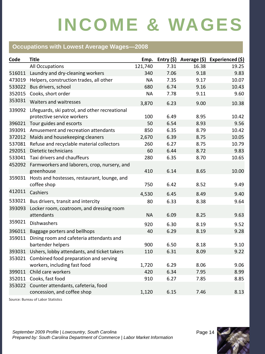#### **Occupations with Lowest Average Wages—2008**

| Code   | <b>Title</b>                                                                 | Emp.      |      |       | Entry $(\xi)$ Average $(\xi)$ Experienced $(\xi)$ |
|--------|------------------------------------------------------------------------------|-----------|------|-------|---------------------------------------------------|
|        | All Occupations                                                              | 121,740   | 7.31 | 16.38 | 19.25                                             |
| 516011 | Laundry and dry-cleaning workers                                             | 340       | 7.06 | 9.18  | 9.83                                              |
| 473019 | Helpers, construction trades, all other                                      | <b>NA</b> | 7.35 | 9.17  | 10.07                                             |
| 533022 | Bus drivers, school                                                          | 680       | 6.74 | 9.16  | 10.43                                             |
| 352015 | Cooks, short order                                                           | <b>NA</b> | 7.78 | 9.11  | 9.60                                              |
| 353031 | Waiters and waitresses                                                       | 3,870     | 6.23 | 9.00  | 10.38                                             |
| 339092 | Lifeguards, ski patrol, and other recreational<br>protective service workers | 100       | 6.49 | 8.95  | 10.42                                             |
| 396021 | Tour guides and escorts                                                      | 50        | 6.54 | 8.93  | 9.56                                              |
|        | 393091 Amusement and recreation attendants                                   | 850       | 6.35 | 8.79  | 10.42                                             |
|        | 372012 Maids and housekeeping cleaners                                       | 2,670     | 6.39 | 8.75  | 10.05                                             |
|        | 537081 Refuse and recyclable material collectors                             | 260       | 6.27 | 8.75  | 10.79                                             |
|        | 292051 Dietetic technicians                                                  | 60        | 6.44 | 8.72  | 9.83                                              |
|        | 533041 Taxi drivers and chauffeurs                                           | 280       | 6.35 | 8.70  | 10.65                                             |
|        | 452092 Farmworkers and laborers, crop, nursery, and<br>greenhouse            | 410       | 6.14 | 8.65  | 10.00                                             |
| 359031 | Hosts and hostesses, restaurant, lounge, and<br>coffee shop                  | 750       | 6.42 | 8.52  | 9.49                                              |
| 412011 | Cashiers                                                                     | 4,530     | 6.45 | 8.49  | 9.40                                              |
|        | 533021 Bus drivers, transit and intercity                                    | 80        | 6.33 | 8.38  | 9.64                                              |
| 393093 | Locker room, coatroom, and dressing room<br>attendants                       | <b>NA</b> | 6.09 | 8.25  | 9.63                                              |
| 359021 | <b>Dishwashers</b>                                                           | 920       | 6.30 | 8.19  | 9.52                                              |
| 396011 | Baggage porters and bellhops                                                 | 40        | 6.29 | 8.19  | 9.28                                              |
| 359011 | Dining room and cafeteria attendants and                                     |           |      |       |                                                   |
|        | bartender helpers                                                            | 900       | 6.50 | 8.18  | 9.10                                              |
|        | 393031 Ushers, lobby attendants, and ticket takers                           | 110       | 6.31 | 8.09  | 9.22                                              |
| 353021 | Combined food preparation and serving<br>workers, including fast food        | 1,720     | 6.29 | 8.06  | 9.06                                              |
| 399011 | Child care workers                                                           | 420       | 6.34 | 7.95  | 8.99                                              |
| 352011 | Cooks, fast food                                                             | 910       | 6.27 | 7.85  | 8.85                                              |
| 353022 | Counter attendants, cafeteria, food<br>concession, and coffee shop           | 1,120     | 6.15 | 7.46  | 8.13                                              |

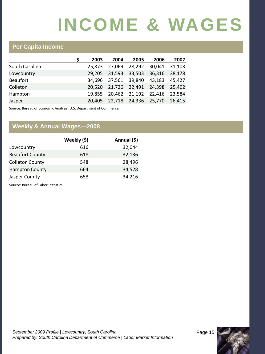#### **Per Capita Income**

|                 | 2003 | 2004                        | 2005 | 2006                               | 2007   |
|-----------------|------|-----------------------------|------|------------------------------------|--------|
| South Carolina  |      | 25.873 27.069               |      | 28,292 30,041 31,103               |        |
| Lowcountry      |      |                             |      | 29,205 31,593 33,503 36,316 38,178 |        |
| <b>Beaufort</b> |      |                             |      | 34,696 37,561 39,840 43,183 45,427 |        |
| Colleton        |      |                             |      | 20,520 21,726 22,491 24,398 25,402 |        |
| Hampton         |      |                             |      | 19,855 20,462 21,192 22,416 23,584 |        |
| Jasper          |      | 20,405 22,718 24,336 25,770 |      |                                    | 26,415 |

Source: Bureau of Economic Analysis, U.S. Department of Commerce

#### **Weekly & Annual Wages—2008**

|                        | Weekly (\$) | Annual (\$) |
|------------------------|-------------|-------------|
| Lowcountry             | 616         | 32,044      |
| <b>Beaufort County</b> | 618         | 32,136      |
| <b>Colleton County</b> | 548         | 28,496      |
| <b>Hampton County</b>  | 664         | 34,528      |
| Jasper County          | 658         | 34,216      |

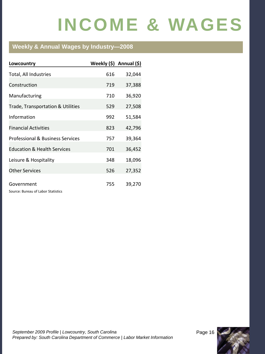#### **Weekly & Annual Wages by Industry—2008**

| Lowcountry                                       | Weekly $(\xi)$ Annual $(\xi)$ |        |
|--------------------------------------------------|-------------------------------|--------|
| Total, All Industries                            | 616                           | 32,044 |
| Construction                                     | 719                           | 37,388 |
| Manufacturing                                    | 710                           | 36,920 |
| Trade, Transportation & Utilities                | 529                           | 27,508 |
| Information                                      | 992                           | 51,584 |
| <b>Financial Activities</b>                      | 823                           | 42,796 |
| <b>Professional &amp; Business Services</b>      | 757                           | 39,364 |
| <b>Education &amp; Health Services</b>           | 701                           | 36,452 |
| Leisure & Hospitality                            | 348                           | 18,096 |
| <b>Other Services</b>                            | 526                           | 27,352 |
| Government<br>Source: Bureau of Labor Statistics | 755                           | 39,270 |

September 2009 Profile | Lowcountry, South Carolina **Page 16** Page 16 *Prepared by: South Carolina Department of Commerce | Labor Market Information*